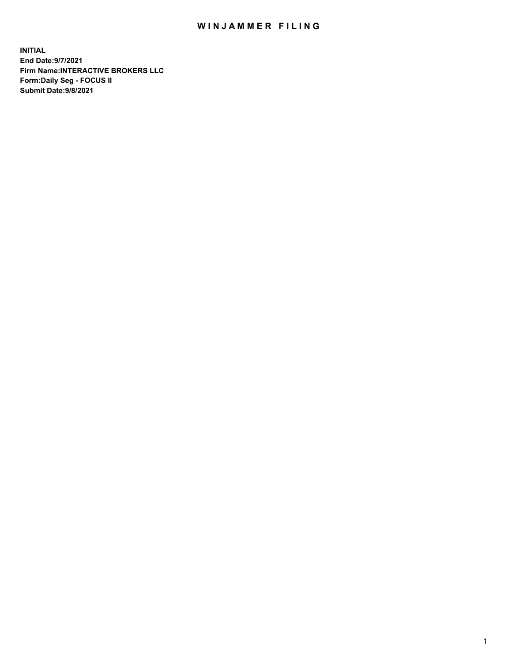## WIN JAMMER FILING

**INITIAL End Date:9/7/2021 Firm Name:INTERACTIVE BROKERS LLC Form:Daily Seg - FOCUS II Submit Date:9/8/2021**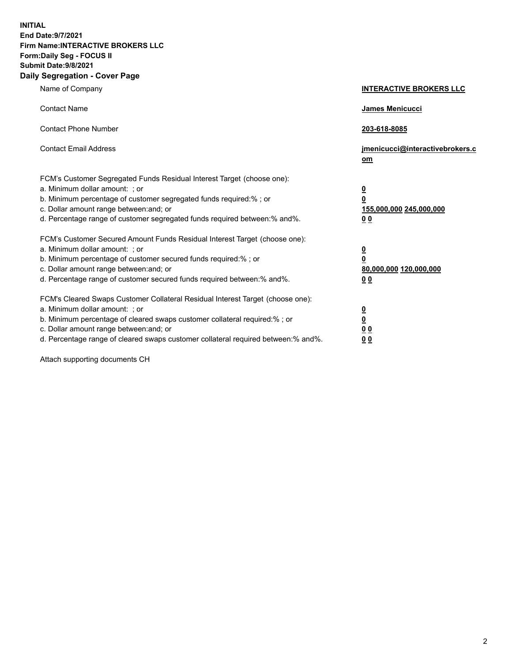**INITIAL End Date:9/7/2021 Firm Name:INTERACTIVE BROKERS LLC Form:Daily Seg - FOCUS II Submit Date:9/8/2021 Daily Segregation - Cover Page**

| Name of Company                                                                                                                                                                                                                                                                                                                | <b>INTERACTIVE BROKERS LLC</b>                                                                  |
|--------------------------------------------------------------------------------------------------------------------------------------------------------------------------------------------------------------------------------------------------------------------------------------------------------------------------------|-------------------------------------------------------------------------------------------------|
| <b>Contact Name</b>                                                                                                                                                                                                                                                                                                            | <b>James Menicucci</b>                                                                          |
| <b>Contact Phone Number</b>                                                                                                                                                                                                                                                                                                    | 203-618-8085                                                                                    |
| <b>Contact Email Address</b>                                                                                                                                                                                                                                                                                                   | jmenicucci@interactivebrokers.c<br>om                                                           |
| FCM's Customer Segregated Funds Residual Interest Target (choose one):<br>a. Minimum dollar amount: ; or<br>b. Minimum percentage of customer segregated funds required:% ; or<br>c. Dollar amount range between: and; or<br>d. Percentage range of customer segregated funds required between:% and%.                         | $\overline{\mathbf{0}}$<br>$\overline{\mathbf{0}}$<br>155,000,000 245,000,000<br>0 <sub>0</sub> |
| FCM's Customer Secured Amount Funds Residual Interest Target (choose one):<br>a. Minimum dollar amount: ; or<br>b. Minimum percentage of customer secured funds required:%; or<br>c. Dollar amount range between: and; or<br>d. Percentage range of customer secured funds required between:% and%.                            | $\overline{\mathbf{0}}$<br>$\mathbf 0$<br>80,000,000 120,000,000<br>0 <sub>0</sub>              |
| FCM's Cleared Swaps Customer Collateral Residual Interest Target (choose one):<br>a. Minimum dollar amount: ; or<br>b. Minimum percentage of cleared swaps customer collateral required:% ; or<br>c. Dollar amount range between: and; or<br>d. Percentage range of cleared swaps customer collateral required between:% and%. | $\overline{\mathbf{0}}$<br>$\underline{\mathbf{0}}$<br>0 <sub>0</sub><br>0 <sub>0</sub>         |

Attach supporting documents CH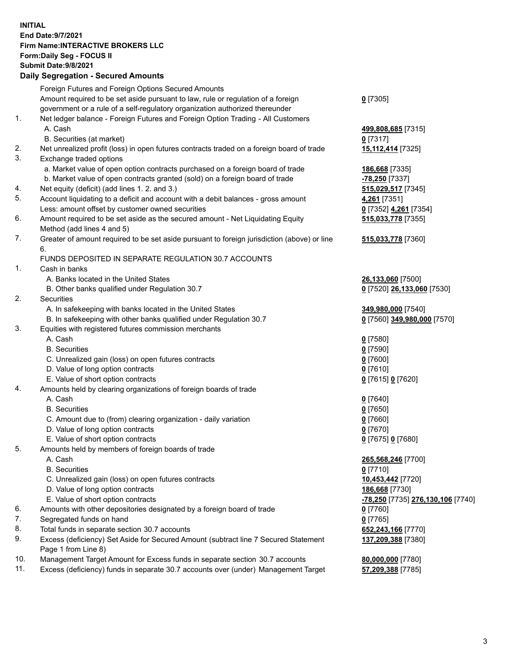## **INITIAL End Date:9/7/2021 Firm Name:INTERACTIVE BROKERS LLC Form:Daily Seg - FOCUS II Submit Date:9/8/2021 Daily Segregation - Secured Amounts**

|     | 2011, Ocgi ogation - Oceaned Anioania                                                       |                                   |
|-----|---------------------------------------------------------------------------------------------|-----------------------------------|
|     | Foreign Futures and Foreign Options Secured Amounts                                         |                                   |
|     | Amount required to be set aside pursuant to law, rule or regulation of a foreign            | $0$ [7305]                        |
|     | government or a rule of a self-regulatory organization authorized thereunder                |                                   |
| 1.  | Net ledger balance - Foreign Futures and Foreign Option Trading - All Customers             |                                   |
|     | A. Cash                                                                                     | 499,808,685 [7315]                |
|     | B. Securities (at market)                                                                   | $0$ [7317]                        |
| 2.  | Net unrealized profit (loss) in open futures contracts traded on a foreign board of trade   | 15,112,414 [7325]                 |
| 3.  | Exchange traded options                                                                     |                                   |
|     | a. Market value of open option contracts purchased on a foreign board of trade              | 186,668 [7335]                    |
|     | b. Market value of open contracts granted (sold) on a foreign board of trade                | -78,250 [7337]                    |
| 4.  | Net equity (deficit) (add lines 1. 2. and 3.)                                               | 515,029,517 [7345]                |
| 5.  | Account liquidating to a deficit and account with a debit balances - gross amount           | 4,261 [7351]                      |
|     | Less: amount offset by customer owned securities                                            | 0 [7352] 4,261 [7354]             |
| 6.  | Amount required to be set aside as the secured amount - Net Liquidating Equity              | 515,033,778 [7355]                |
|     | Method (add lines 4 and 5)                                                                  |                                   |
| 7.  | Greater of amount required to be set aside pursuant to foreign jurisdiction (above) or line | 515,033,778 [7360]                |
|     | 6.                                                                                          |                                   |
|     | FUNDS DEPOSITED IN SEPARATE REGULATION 30.7 ACCOUNTS                                        |                                   |
| 1.  | Cash in banks                                                                               |                                   |
|     | A. Banks located in the United States                                                       | 26,133,060 [7500]                 |
|     | B. Other banks qualified under Regulation 30.7                                              | 0 [7520] 26,133,060 [7530]        |
| 2.  | Securities                                                                                  |                                   |
|     | A. In safekeeping with banks located in the United States                                   | 349,980,000 [7540]                |
|     | B. In safekeeping with other banks qualified under Regulation 30.7                          | 0 [7560] 349,980,000 [7570]       |
| 3.  | Equities with registered futures commission merchants                                       |                                   |
|     | A. Cash                                                                                     | $0$ [7580]                        |
|     | <b>B.</b> Securities                                                                        | $0$ [7590]                        |
|     | C. Unrealized gain (loss) on open futures contracts                                         | $0$ [7600]                        |
|     | D. Value of long option contracts                                                           | $0$ [7610]                        |
|     | E. Value of short option contracts                                                          | 0 [7615] 0 [7620]                 |
| 4.  | Amounts held by clearing organizations of foreign boards of trade                           |                                   |
|     | A. Cash                                                                                     | $0$ [7640]                        |
|     | <b>B.</b> Securities                                                                        | $0$ [7650]                        |
|     | C. Amount due to (from) clearing organization - daily variation                             | $0$ [7660]                        |
|     | D. Value of long option contracts                                                           | $0$ [7670]                        |
|     | E. Value of short option contracts                                                          | 0 [7675] 0 [7680]                 |
| 5.  | Amounts held by members of foreign boards of trade                                          |                                   |
|     | A. Cash                                                                                     | 265,568,246 [7700]                |
|     | <b>B.</b> Securities                                                                        | $0$ [7710]                        |
|     | C. Unrealized gain (loss) on open futures contracts                                         | 10,453,442 [7720]                 |
|     | D. Value of long option contracts                                                           | 186,668 [7730]                    |
|     | E. Value of short option contracts                                                          | -78,250 [7735] 276,130,106 [7740] |
| 6.  | Amounts with other depositories designated by a foreign board of trade                      | $0$ [7760]                        |
| 7.  | Segregated funds on hand                                                                    | $0$ [7765]                        |
| 8.  | Total funds in separate section 30.7 accounts                                               | 652,243,166 [7770]                |
| 9.  | Excess (deficiency) Set Aside for Secured Amount (subtract line 7 Secured Statement         | 137,209,388 [7380]                |
|     | Page 1 from Line 8)                                                                         |                                   |
| 10. | Management Target Amount for Excess funds in separate section 30.7 accounts                 | 80,000,000 [7780]                 |
| 11. | Excess (deficiency) funds in separate 30.7 accounts over (under) Management Target          | 57,209,388 [7785]                 |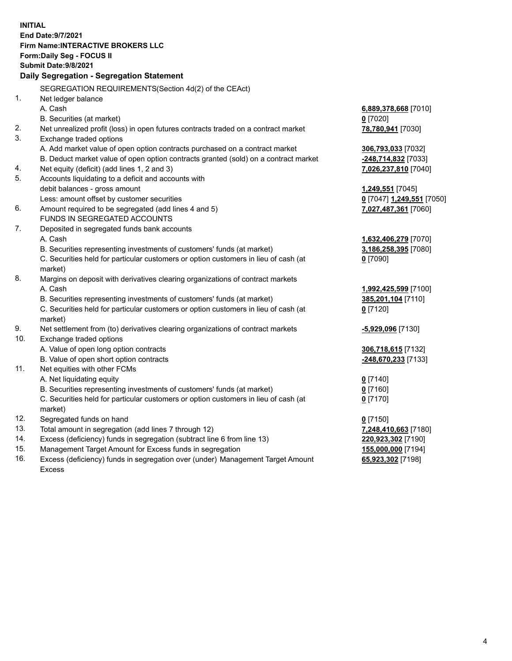**INITIAL End Date:9/7/2021 Firm Name:INTERACTIVE BROKERS LLC Form:Daily Seg - FOCUS II Submit Date:9/8/2021 Daily Segregation - Segregation Statement** SEGREGATION REQUIREMENTS(Section 4d(2) of the CEAct) 1. Net ledger balance A. Cash **6,889,378,668** [7010] B. Securities (at market) **0** [7020] 2. Net unrealized profit (loss) in open futures contracts traded on a contract market **78,780,941** [7030] 3. Exchange traded options A. Add market value of open option contracts purchased on a contract market **306,793,033** [7032] B. Deduct market value of open option contracts granted (sold) on a contract market **-248,714,832** [7033] 4. Net equity (deficit) (add lines 1, 2 and 3) **7,026,237,810** [7040] 5. Accounts liquidating to a deficit and accounts with debit balances - gross amount **1,249,551** [7045] Less: amount offset by customer securities **0** [7047] **1,249,551** [7050] 6. Amount required to be segregated (add lines 4 and 5) **7,027,487,361** [7060] FUNDS IN SEGREGATED ACCOUNTS 7. Deposited in segregated funds bank accounts A. Cash **1,632,406,279** [7070] B. Securities representing investments of customers' funds (at market) **3,186,258,395** [7080] C. Securities held for particular customers or option customers in lieu of cash (at market) **0** [7090] 8. Margins on deposit with derivatives clearing organizations of contract markets A. Cash **1,992,425,599** [7100] B. Securities representing investments of customers' funds (at market) **385,201,104** [7110] C. Securities held for particular customers or option customers in lieu of cash (at market) **0** [7120] 9. Net settlement from (to) derivatives clearing organizations of contract markets **-5,929,096** [7130] 10. Exchange traded options A. Value of open long option contracts **306,718,615** [7132] B. Value of open short option contracts **-248,670,233** [7133] 11. Net equities with other FCMs A. Net liquidating equity **0** [7140] B. Securities representing investments of customers' funds (at market) **0** [7160] C. Securities held for particular customers or option customers in lieu of cash (at market) **0** [7170] 12. Segregated funds on hand **0** [7150] 13. Total amount in segregation (add lines 7 through 12) **7,248,410,663** [7180] 14. Excess (deficiency) funds in segregation (subtract line 6 from line 13) **220,923,302** [7190] 15. Management Target Amount for Excess funds in segregation **155,000,000** [7194] **65,923,302** [7198]

16. Excess (deficiency) funds in segregation over (under) Management Target Amount Excess